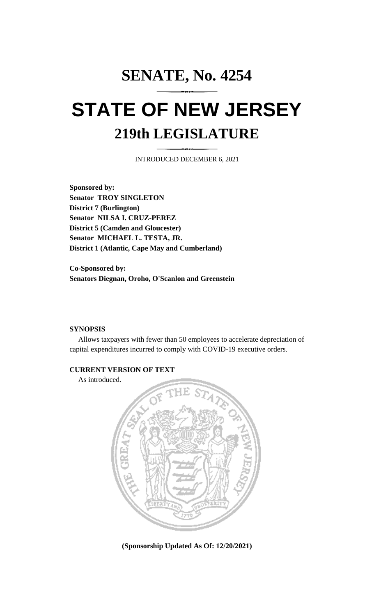## **SENATE, No. 4254 STATE OF NEW JERSEY 219th LEGISLATURE**

INTRODUCED DECEMBER 6, 2021

**Sponsored by: Senator TROY SINGLETON District 7 (Burlington) Senator NILSA I. CRUZ-PEREZ District 5 (Camden and Gloucester) Senator MICHAEL L. TESTA, JR. District 1 (Atlantic, Cape May and Cumberland)**

**Co-Sponsored by: Senators Diegnan, Oroho, O'Scanlon and Greenstein**

## **SYNOPSIS**

Allows taxpayers with fewer than 50 employees to accelerate depreciation of capital expenditures incurred to comply with COVID-19 executive orders.

## **CURRENT VERSION OF TEXT**

As introduced.



**(Sponsorship Updated As Of: 12/20/2021)**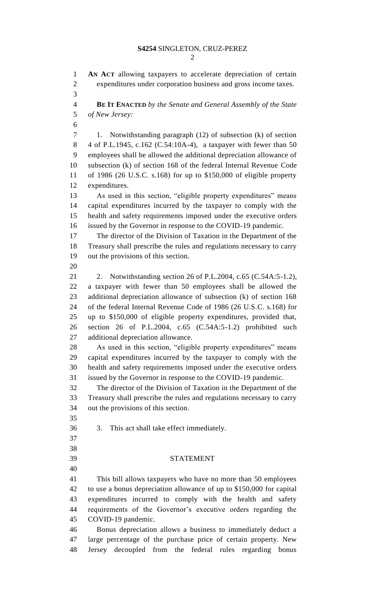**AN ACT** allowing taxpayers to accelerate depreciation of certain expenditures under corporation business and gross income taxes. **BE IT ENACTED** *by the Senate and General Assembly of the State of New Jersey:* 1. Notwithstanding paragraph (12) of subsection (k) of section 4 of P.L.1945, c.162 (C.54:10A-4), a taxpayer with fewer than 50 employees shall be allowed the additional depreciation allowance of subsection (k) of section 168 of the federal Internal Revenue Code of 1986 (26 U.S.C. s.168) for up to \$150,000 of eligible property expenditures. As used in this section, "eligible property expenditures" means capital expenditures incurred by the taxpayer to comply with the health and safety requirements imposed under the executive orders issued by the Governor in response to the COVID-19 pandemic. The director of the Division of Taxation in the Department of the Treasury shall prescribe the rules and regulations necessary to carry out the provisions of this section. 2. Notwithstanding section 26 of P.L.2004, c.65 (C.54A:5-1.2), a taxpayer with fewer than 50 employees shall be allowed the additional depreciation allowance of subsection (k) of section 168 of the federal Internal Revenue Code of 1986 (26 U.S.C. s.168) for up to \$150,000 of eligible property expenditures, provided that, section 26 of P.L.2004, c.65 (C.54A:5-1.2) prohibited such additional depreciation allowance. As used in this section, "eligible property expenditures" means capital expenditures incurred by the taxpayer to comply with the health and safety requirements imposed under the executive orders issued by the Governor in response to the COVID-19 pandemic. The director of the Division of Taxation in the Department of the Treasury shall prescribe the rules and regulations necessary to carry out the provisions of this section. 3. This act shall take effect immediately. STATEMENT This bill allows taxpayers who have no more than 50 employees to use a bonus depreciation allowance of up to \$150,000 for capital expenditures incurred to comply with the health and safety requirements of the Governor's executive orders regarding the COVID-19 pandemic. Bonus depreciation allows a business to immediately deduct a large percentage of the purchase price of certain property. New Jersey decoupled from the federal rules regarding bonus